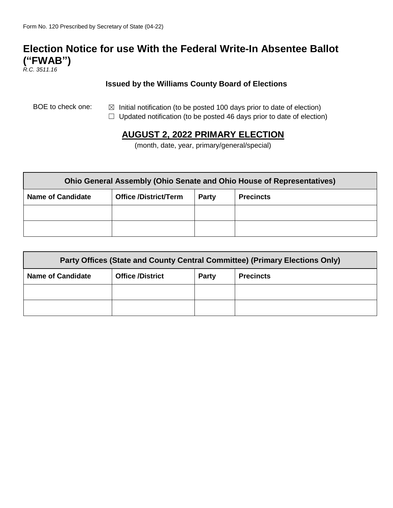# **Election Notice for use With the Federal Write-In Absentee Ballot ("FWAB")**

*R.C. 3511.16*

#### **Issued by the Williams County Board of Elections**

- BOE to check one:  $\boxtimes$  Initial notification (to be posted 100 days prior to date of election)
	- $\Box$  Updated notification (to be posted 46 days prior to date of election)

## **AUGUST 2, 2022 PRIMARY ELECTION**

(month, date, year, primary/general/special)

| <b>Ohio General Assembly (Ohio Senate and Ohio House of Representatives)</b> |                              |              |                  |  |
|------------------------------------------------------------------------------|------------------------------|--------------|------------------|--|
| <b>Name of Candidate</b>                                                     | <b>Office /District/Term</b> | <b>Party</b> | <b>Precincts</b> |  |
|                                                                              |                              |              |                  |  |
|                                                                              |                              |              |                  |  |

| Party Offices (State and County Central Committee) (Primary Elections Only) |                         |              |                  |  |
|-----------------------------------------------------------------------------|-------------------------|--------------|------------------|--|
| <b>Name of Candidate</b>                                                    | <b>Office /District</b> | <b>Party</b> | <b>Precincts</b> |  |
|                                                                             |                         |              |                  |  |
|                                                                             |                         |              |                  |  |